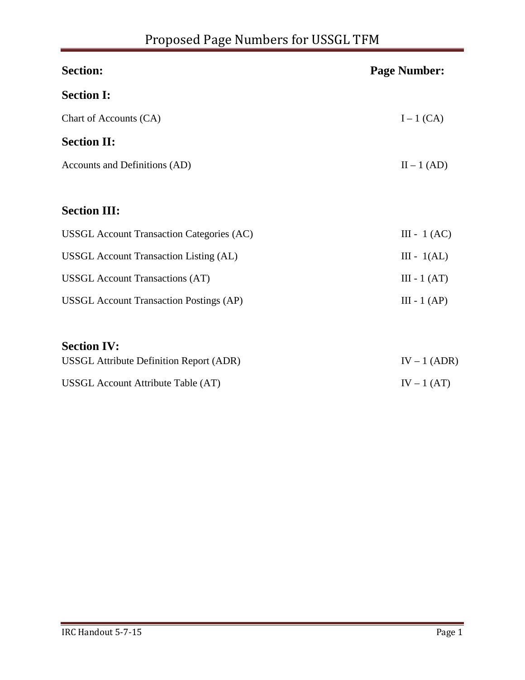| <b>Section:</b>                                  | <b>Page Number:</b> |
|--------------------------------------------------|---------------------|
| <b>Section I:</b>                                |                     |
| Chart of Accounts (CA)                           | $I-1$ (CA)          |
| <b>Section II:</b>                               |                     |
| Accounts and Definitions (AD)                    | $II - 1 (AD)$       |
| <b>Section III:</b>                              |                     |
| <b>USSGL Account Transaction Categories (AC)</b> | III - 1 $(AC)$      |
| <b>USSGL Account Transaction Listing (AL)</b>    | $III - 1(AL)$       |
| <b>USSGL</b> Account Transactions (AT)           | $III - 1 (AT)$      |
| <b>USSGL Account Transaction Postings (AP)</b>   | $III - 1 (AP)$      |
| <b>Section IV:</b>                               |                     |
| <b>USSGL Attribute Definition Report (ADR)</b>   | $IV - 1 (ADR)$      |
| USSGL Account Attribute Table (AT)               | $IV - 1 (AT)$       |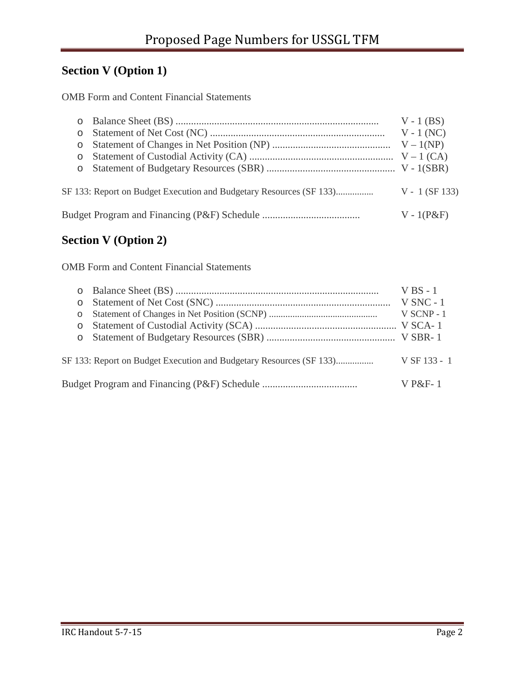### **Section V (Option 1)**

OMB Form and Content Financial Statements

|         |                                                                     | $V - 1$ (BS)     |
|---------|---------------------------------------------------------------------|------------------|
| $\circ$ |                                                                     | $V - 1$ (NC)     |
| $\circ$ |                                                                     |                  |
| $\circ$ |                                                                     |                  |
| $\circ$ |                                                                     |                  |
|         | SF 133: Report on Budget Execution and Budgetary Resources (SF 133) | $V - 1$ (SF 133) |
|         |                                                                     | $V - 1(P\&F)$    |

### **Section V (Option 2)**

OMB Form and Content Financial Statements

|            |                                                                     | $V$ BS - 1   |
|------------|---------------------------------------------------------------------|--------------|
| $\bigcirc$ |                                                                     | $V$ SNC - 1  |
| $\circ$    |                                                                     | $V$ SCNP - 1 |
| $\Omega$   |                                                                     |              |
|            |                                                                     |              |
|            | SF 133: Report on Budget Execution and Budgetary Resources (SF 133) | V SF 133 - 1 |
|            |                                                                     | $V P\&F-1$   |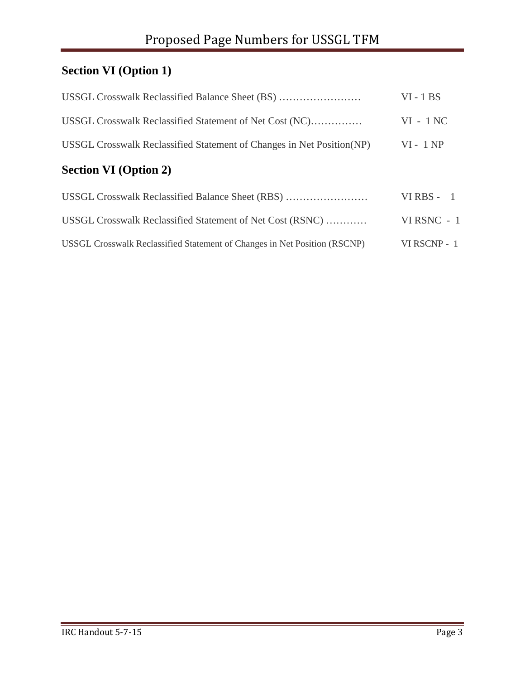# **Section VI (Option 1)**

| USSGL Crosswalk Reclassified Balance Sheet (BS)                           | $VI - 1 BS$  |
|---------------------------------------------------------------------------|--------------|
| USSGL Crosswalk Reclassified Statement of Net Cost (NC)                   | $VI - 1 NC$  |
| USSGL Crosswalk Reclassified Statement of Changes in Net Position (NP)    | $VI - 1 NP$  |
| <b>Section VI</b> (Option 2)                                              |              |
| USSGL Crosswalk Reclassified Balance Sheet (RBS)                          | VIRBS - $1$  |
| USSGL Crosswalk Reclassified Statement of Net Cost (RSNC)                 | VIRSNC - 1   |
| USSGL Crosswalk Reclassified Statement of Changes in Net Position (RSCNP) | VI RSCNP - 1 |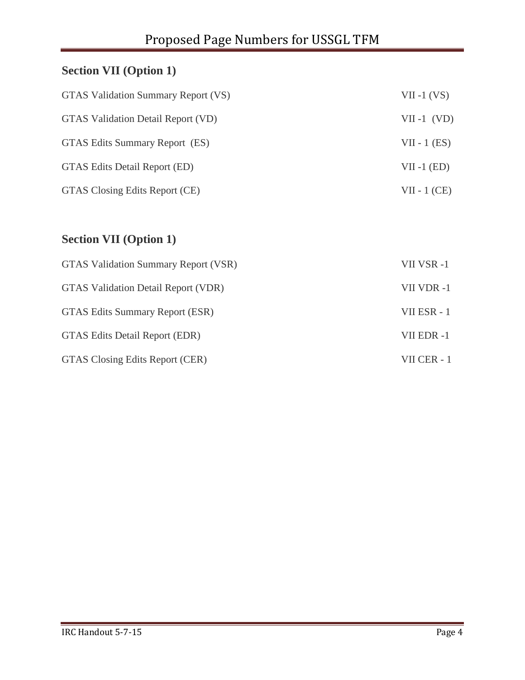# **Section VII (Option 1)**

| GTAS Validation Summary Report (VS)       | $VII -1 (VS)$  |
|-------------------------------------------|----------------|
| <b>GTAS Validation Detail Report (VD)</b> | $VII -1$ (VD)  |
| GTAS Edits Summary Report (ES)            | $VII - 1 (ES)$ |
| GTAS Edits Detail Report (ED)             | $VII -1 (ED)$  |
| GTAS Closing Edits Report (CE)            | $VII - 1$ (CE) |

# **Section VII (Option 1)**

| <b>GTAS Validation Summary Report (VSR)</b> | VII VSR-1   |
|---------------------------------------------|-------------|
| GTAS Validation Detail Report (VDR)         | VII VDR-1   |
| GTAS Edits Summary Report (ESR)             | VII ESR - 1 |
| <b>GTAS Edits Detail Report (EDR)</b>       | VII EDR-1   |
| GTAS Closing Edits Report (CER)             | VII CER - 1 |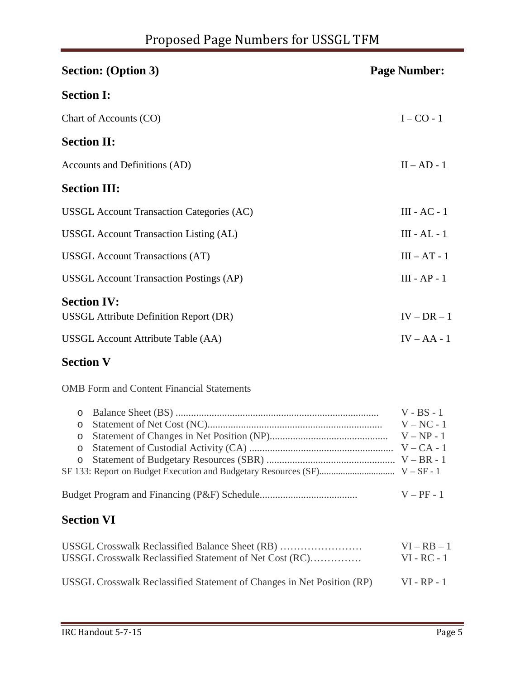# Proposed Page Numbers for USSGL TFM

| <b>Section: (Option 3)</b>                                          | <b>Page Number:</b> |
|---------------------------------------------------------------------|---------------------|
| <b>Section I:</b>                                                   |                     |
| Chart of Accounts (CO)                                              | $I - CO - 1$        |
| <b>Section II:</b>                                                  |                     |
| Accounts and Definitions (AD)                                       | $II - AD - 1$       |
| <b>Section III:</b>                                                 |                     |
| <b>USSGL Account Transaction Categories (AC)</b>                    | $III - AC - 1$      |
| <b>USSGL</b> Account Transaction Listing (AL)                       | $III - AL - 1$      |
| <b>USSGL</b> Account Transactions (AT)                              | $III - AT - 1$      |
| <b>USSGL Account Transaction Postings (AP)</b>                      | $III - AP - 1$      |
| <b>Section IV:</b><br><b>USSGL</b> Attribute Definition Report (DR) | $IV - DR - 1$       |
| USSGL Account Attribute Table (AA)                                  | $IV - AA - 1$       |

### **Section V**

OMB Form and Content Financial Statements

|         | $V - BS - 1$ |
|---------|--------------|
| $\circ$ | $V - NC - 1$ |
|         |              |
|         |              |
|         |              |
|         |              |
|         |              |
|         | $V - PF - 1$ |

### **Section VI**

| USSGL Crosswalk Reclassified Balance Sheet (RB)                        | $VI - RB - 1$ |
|------------------------------------------------------------------------|---------------|
| USSGL Crosswalk Reclassified Statement of Net Cost (RC)                | $VI - RC - 1$ |
| USSGL Crosswalk Reclassified Statement of Changes in Net Position (RP) | $VI - RP - 1$ |